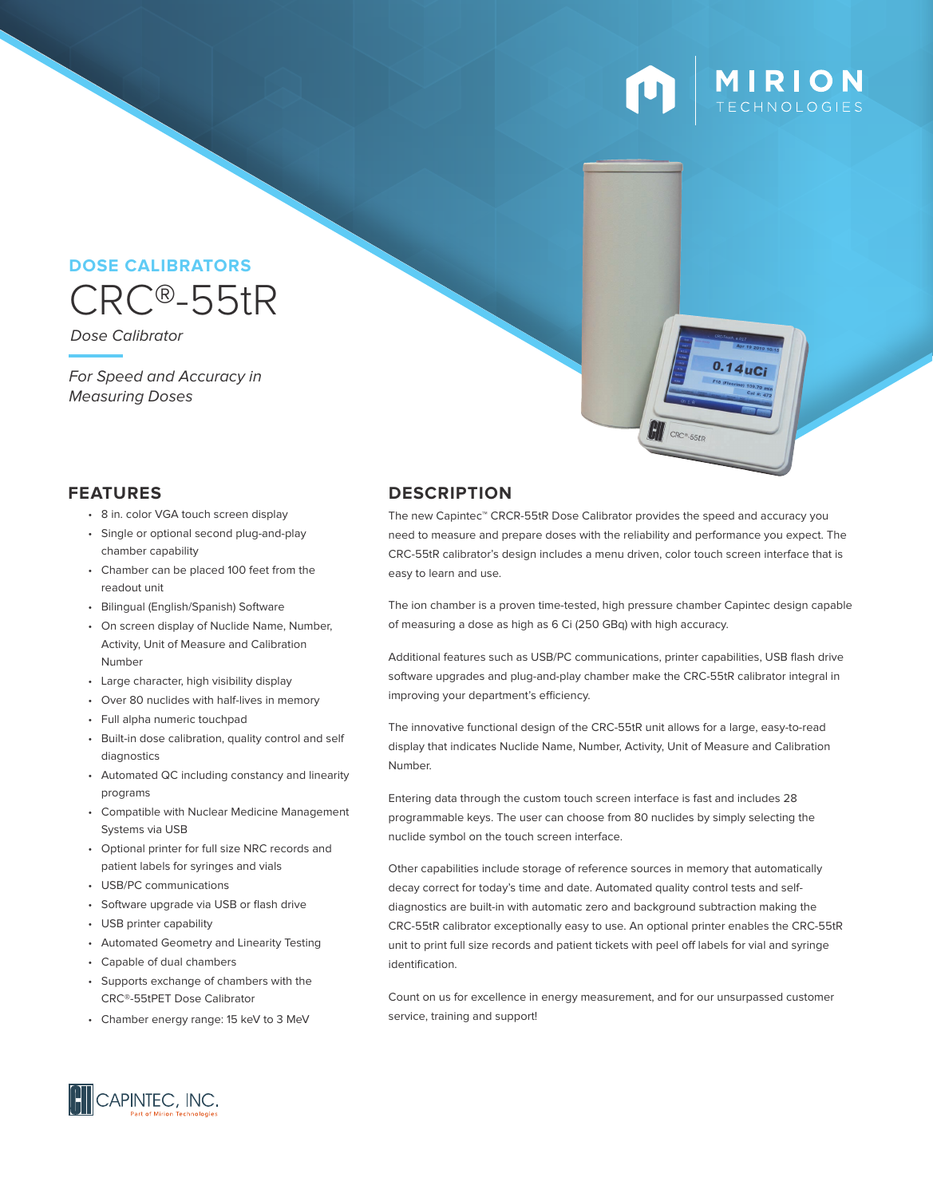# **MIRION**<br>TECHNOLOGIES

### CRC®-55tR **DOSE CALIBRATORS**

Dose Calibrator

For Speed and Accuracy in Measuring Doses

- 8 in. color VGA touch screen display
- Single or optional second plug-and-play chamber capability
- Chamber can be placed 100 feet from the readout unit
- Bilingual (English/Spanish) Software
- On screen display of Nuclide Name, Number, Activity, Unit of Measure and Calibration Number
- Large character, high visibility display
- Over 80 nuclides with half-lives in memory
- Full alpha numeric touchpad
- Built-in dose calibration, quality control and self diagnostics
- Automated QC including constancy and linearity programs
- Compatible with Nuclear Medicine Management Systems via USB
- Optional printer for full size NRC records and patient labels for syringes and vials
- USB/PC communications
- Software upgrade via USB or flash drive
- USB printer capability
- Automated Geometry and Linearity Testing
- Capable of dual chambers
- Supports exchange of chambers with the CRC®-55tPET Dose Calibrator
- Chamber energy range: 15 keV to 3 MeV

### **FEATURES DESCRIPTION**

The new Capintec™ CRCR-55tR Dose Calibrator provides the speed and accuracy you need to measure and prepare doses with the reliability and performance you expect. The CRC-55tR calibrator's design includes a menu driven, color touch screen interface that is easy to learn and use.

The ion chamber is a proven time-tested, high pressure chamber Capintec design capable of measuring a dose as high as 6 Ci (250 GBq) with high accuracy.

Additional features such as USB/PC communications, printer capabilities, USB flash drive software upgrades and plug-and-play chamber make the CRC-55tR calibrator integral in improving your department's efficiency.

The innovative functional design of the CRC-55tR unit allows for a large, easy-to-read display that indicates Nuclide Name, Number, Activity, Unit of Measure and Calibration Number.

Entering data through the custom touch screen interface is fast and includes 28 programmable keys. The user can choose from 80 nuclides by simply selecting the nuclide symbol on the touch screen interface.

Other capabilities include storage of reference sources in memory that automatically decay correct for today's time and date. Automated quality control tests and selfdiagnostics are built-in with automatic zero and background subtraction making the CRC-55tR calibrator exceptionally easy to use. An optional printer enables the CRC-55tR unit to print full size records and patient tickets with peel off labels for vial and syringe identification.

Count on us for excellence in energy measurement, and for our unsurpassed customer service, training and support!